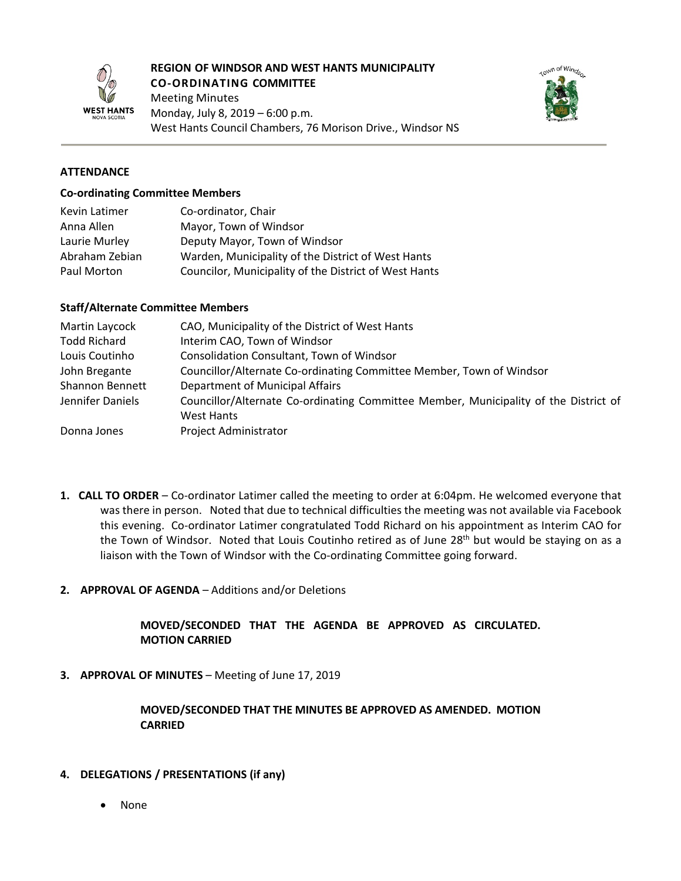

#### **REGION OF WINDSOR AND WEST HANTS MUNICIPALITY CO-ORDINATING COMMITTEE**

Meeting Minutes Monday, July 8, 2019 – 6:00 p.m. West Hants Council Chambers, 76 Morison Drive., Windsor NS



# **ATTENDANCE**

#### **Co-ordinating Committee Members**

| Kevin Latimer  | Co-ordinator, Chair                                   |
|----------------|-------------------------------------------------------|
| Anna Allen     | Mayor, Town of Windsor                                |
| Laurie Murley  | Deputy Mayor, Town of Windsor                         |
| Abraham Zebian | Warden, Municipality of the District of West Hants    |
| Paul Morton    | Councilor, Municipality of the District of West Hants |

#### **Staff/Alternate Committee Members**

| Martin Laycock         | CAO, Municipality of the District of West Hants                                                           |
|------------------------|-----------------------------------------------------------------------------------------------------------|
| <b>Todd Richard</b>    | Interim CAO, Town of Windsor                                                                              |
| Louis Coutinho         | Consolidation Consultant, Town of Windsor                                                                 |
| John Bregante          | Councillor/Alternate Co-ordinating Committee Member, Town of Windsor                                      |
| <b>Shannon Bennett</b> | Department of Municipal Affairs                                                                           |
| Jennifer Daniels       | Councillor/Alternate Co-ordinating Committee Member, Municipality of the District of<br><b>West Hants</b> |
| Donna Jones            | <b>Project Administrator</b>                                                                              |

- **1. CALL TO ORDER** Co-ordinator Latimer called the meeting to order at 6:04pm. He welcomed everyone that was there in person. Noted that due to technical difficulties the meeting was not available via Facebook this evening. Co-ordinator Latimer congratulated Todd Richard on his appointment as Interim CAO for the Town of Windsor. Noted that Louis Coutinho retired as of June 28<sup>th</sup> but would be staying on as a liaison with the Town of Windsor with the Co-ordinating Committee going forward.
- **2. APPROVAL OF AGENDA** Additions and/or Deletions

# **MOVED/SECONDED THAT THE AGENDA BE APPROVED AS CIRCULATED. MOTION CARRIED**

**3. APPROVAL OF MINUTES** – Meeting of June 17, 2019

### **MOVED/SECONDED THAT THE MINUTES BE APPROVED AS AMENDED. MOTION CARRIED**

- **4. DELEGATIONS / PRESENTATIONS (if any)**
	- None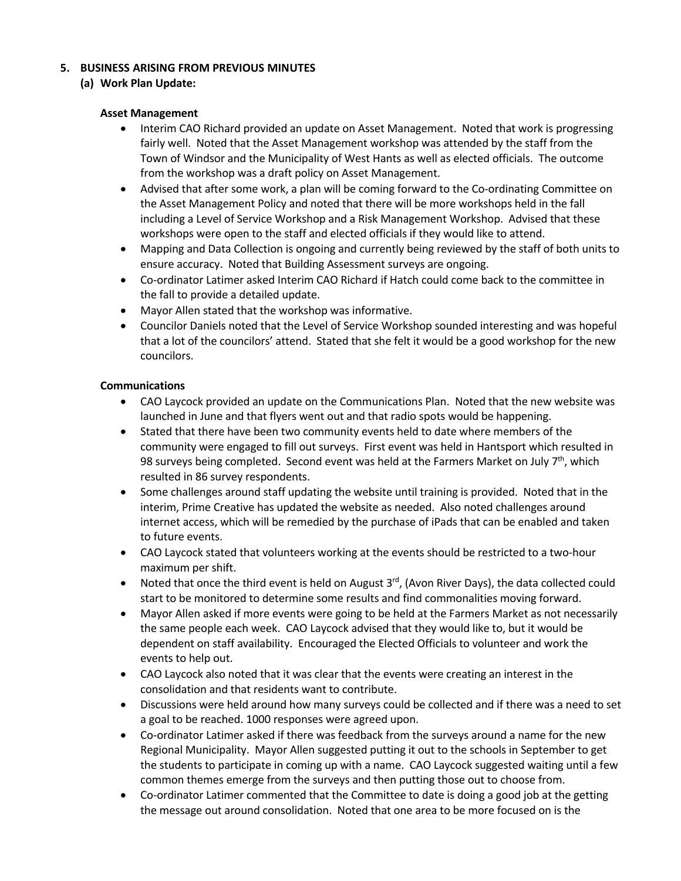# **5. BUSINESS ARISING FROM PREVIOUS MINUTES**

# **(a) Work Plan Update:**

### **Asset Management**

- Interim CAO Richard provided an update on Asset Management. Noted that work is progressing fairly well. Noted that the Asset Management workshop was attended by the staff from the Town of Windsor and the Municipality of West Hants as well as elected officials. The outcome from the workshop was a draft policy on Asset Management.
- Advised that after some work, a plan will be coming forward to the Co-ordinating Committee on the Asset Management Policy and noted that there will be more workshops held in the fall including a Level of Service Workshop and a Risk Management Workshop. Advised that these workshops were open to the staff and elected officials if they would like to attend.
- Mapping and Data Collection is ongoing and currently being reviewed by the staff of both units to ensure accuracy. Noted that Building Assessment surveys are ongoing.
- Co-ordinator Latimer asked Interim CAO Richard if Hatch could come back to the committee in the fall to provide a detailed update.
- Mayor Allen stated that the workshop was informative.
- Councilor Daniels noted that the Level of Service Workshop sounded interesting and was hopeful that a lot of the councilors' attend. Stated that she felt it would be a good workshop for the new councilors.

### **Communications**

- CAO Laycock provided an update on the Communications Plan. Noted that the new website was launched in June and that flyers went out and that radio spots would be happening.
- Stated that there have been two community events held to date where members of the community were engaged to fill out surveys. First event was held in Hantsport which resulted in 98 surveys being completed. Second event was held at the Farmers Market on July  $7<sup>th</sup>$ , which resulted in 86 survey respondents.
- Some challenges around staff updating the website until training is provided. Noted that in the interim, Prime Creative has updated the website as needed. Also noted challenges around internet access, which will be remedied by the purchase of iPads that can be enabled and taken to future events.
- CAO Laycock stated that volunteers working at the events should be restricted to a two-hour maximum per shift.
- Noted that once the third event is held on August  $3^{rd}$ , (Avon River Days), the data collected could start to be monitored to determine some results and find commonalities moving forward.
- Mayor Allen asked if more events were going to be held at the Farmers Market as not necessarily the same people each week. CAO Laycock advised that they would like to, but it would be dependent on staff availability. Encouraged the Elected Officials to volunteer and work the events to help out.
- CAO Laycock also noted that it was clear that the events were creating an interest in the consolidation and that residents want to contribute.
- Discussions were held around how many surveys could be collected and if there was a need to set a goal to be reached. 1000 responses were agreed upon.
- Co-ordinator Latimer asked if there was feedback from the surveys around a name for the new Regional Municipality. Mayor Allen suggested putting it out to the schools in September to get the students to participate in coming up with a name. CAO Laycock suggested waiting until a few common themes emerge from the surveys and then putting those out to choose from.
- Co-ordinator Latimer commented that the Committee to date is doing a good job at the getting the message out around consolidation. Noted that one area to be more focused on is the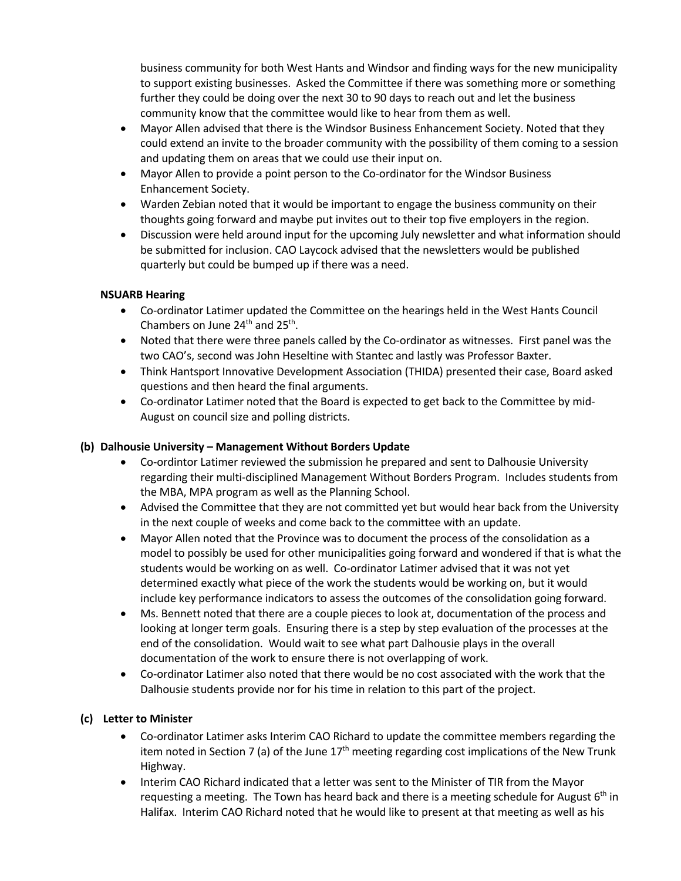business community for both West Hants and Windsor and finding ways for the new municipality to support existing businesses. Asked the Committee if there was something more or something further they could be doing over the next 30 to 90 days to reach out and let the business community know that the committee would like to hear from them as well.

- Mayor Allen advised that there is the Windsor Business Enhancement Society. Noted that they could extend an invite to the broader community with the possibility of them coming to a session and updating them on areas that we could use their input on.
- Mayor Allen to provide a point person to the Co-ordinator for the Windsor Business Enhancement Society.
- Warden Zebian noted that it would be important to engage the business community on their thoughts going forward and maybe put invites out to their top five employers in the region.
- Discussion were held around input for the upcoming July newsletter and what information should be submitted for inclusion. CAO Laycock advised that the newsletters would be published quarterly but could be bumped up if there was a need.

# **NSUARB Hearing**

- Co-ordinator Latimer updated the Committee on the hearings held in the West Hants Council Chambers on June 24<sup>th</sup> and 25<sup>th</sup>.
- Noted that there were three panels called by the Co-ordinator as witnesses. First panel was the two CAO's, second was John Heseltine with Stantec and lastly was Professor Baxter.
- Think Hantsport Innovative Development Association (THIDA) presented their case, Board asked questions and then heard the final arguments.
- Co-ordinator Latimer noted that the Board is expected to get back to the Committee by mid-August on council size and polling districts.

# **(b) Dalhousie University – Management Without Borders Update**

- Co-ordintor Latimer reviewed the submission he prepared and sent to Dalhousie University regarding their multi-disciplined Management Without Borders Program. Includes students from the MBA, MPA program as well as the Planning School.
- Advised the Committee that they are not committed yet but would hear back from the University in the next couple of weeks and come back to the committee with an update.
- Mayor Allen noted that the Province was to document the process of the consolidation as a model to possibly be used for other municipalities going forward and wondered if that is what the students would be working on as well. Co-ordinator Latimer advised that it was not yet determined exactly what piece of the work the students would be working on, but it would include key performance indicators to assess the outcomes of the consolidation going forward.
- Ms. Bennett noted that there are a couple pieces to look at, documentation of the process and looking at longer term goals. Ensuring there is a step by step evaluation of the processes at the end of the consolidation. Would wait to see what part Dalhousie plays in the overall documentation of the work to ensure there is not overlapping of work.
- Co-ordinator Latimer also noted that there would be no cost associated with the work that the Dalhousie students provide nor for his time in relation to this part of the project.

# **(c) Letter to Minister**

- Co-ordinator Latimer asks Interim CAO Richard to update the committee members regarding the item noted in Section 7 (a) of the June  $17<sup>th</sup>$  meeting regarding cost implications of the New Trunk Highway.
- Interim CAO Richard indicated that a letter was sent to the Minister of TIR from the Mayor requesting a meeting. The Town has heard back and there is a meeting schedule for August 6<sup>th</sup> in Halifax. Interim CAO Richard noted that he would like to present at that meeting as well as his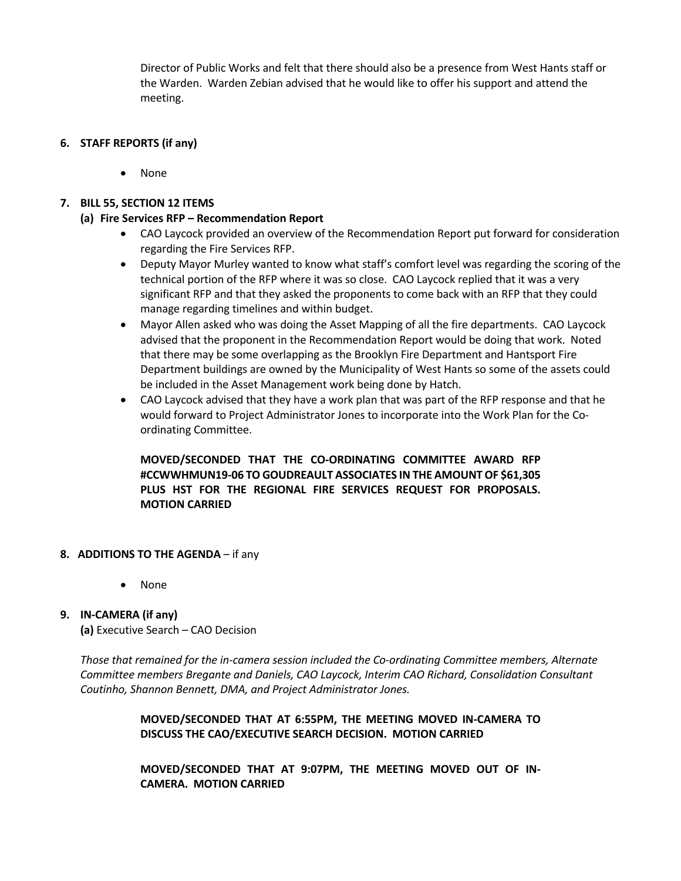Director of Public Works and felt that there should also be a presence from West Hants staff or the Warden. Warden Zebian advised that he would like to offer his support and attend the meeting.

# **6. STAFF REPORTS (if any)**

• None

# **7. BILL 55, SECTION 12 ITEMS**

## **(a) Fire Services RFP – Recommendation Report**

- CAO Laycock provided an overview of the Recommendation Report put forward for consideration regarding the Fire Services RFP.
- Deputy Mayor Murley wanted to know what staff's comfort level was regarding the scoring of the technical portion of the RFP where it was so close. CAO Laycock replied that it was a very significant RFP and that they asked the proponents to come back with an RFP that they could manage regarding timelines and within budget.
- Mayor Allen asked who was doing the Asset Mapping of all the fire departments. CAO Laycock advised that the proponent in the Recommendation Report would be doing that work. Noted that there may be some overlapping as the Brooklyn Fire Department and Hantsport Fire Department buildings are owned by the Municipality of West Hants so some of the assets could be included in the Asset Management work being done by Hatch.
- CAO Laycock advised that they have a work plan that was part of the RFP response and that he would forward to Project Administrator Jones to incorporate into the Work Plan for the Coordinating Committee.

**MOVED/SECONDED THAT THE CO-ORDINATING COMMITTEE AWARD RFP #CCWWHMUN19-06 TO GOUDREAULT ASSOCIATES IN THE AMOUNT OF \$61,305 PLUS HST FOR THE REGIONAL FIRE SERVICES REQUEST FOR PROPOSALS. MOTION CARRIED**

- **8. ADDITIONS TO THE AGENDA** if any
	- None

### **9. IN-CAMERA (if any)**

**(a)** Executive Search – CAO Decision

*Those that remained for the in-camera session included the Co-ordinating Committee members, Alternate Committee members Bregante and Daniels, CAO Laycock, Interim CAO Richard, Consolidation Consultant Coutinho, Shannon Bennett, DMA, and Project Administrator Jones.*

> **MOVED/SECONDED THAT AT 6:55PM, THE MEETING MOVED IN-CAMERA TO DISCUSS THE CAO/EXECUTIVE SEARCH DECISION. MOTION CARRIED**

> **MOVED/SECONDED THAT AT 9:07PM, THE MEETING MOVED OUT OF IN-CAMERA. MOTION CARRIED**